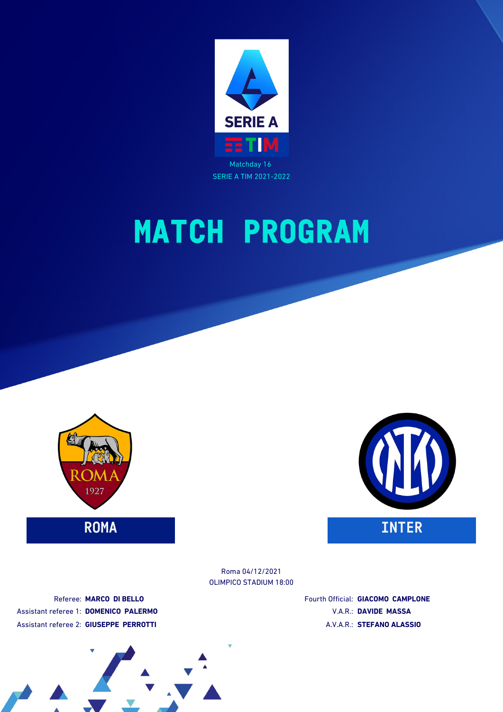





OLIMPICO STADIUM 18:00 Roma 04/12/2021

Referee: **MARCO DI BELLO** Assistant referee 1: **DOMENICO PALERMO** Assistant referee 2: **GIUSEPPE PERROTTI**

Fourth Official: **GIACOMO CAMPLONE** V.A.R.: **DAVIDE MASSA** A.V.A.R.: **STEFANO ALASSIO**

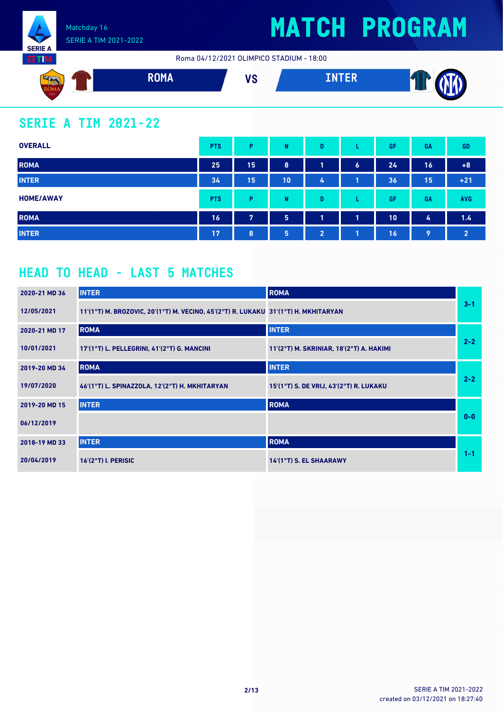

Roma 04/12/2021 OLIMPICO STADIUM - 18:00



### **SERIE A TIM 2021-22**

| <b>OVERALL</b>   | <b>PTS</b> | P  | W  | D                       |                  | GF | GA | <b>GD</b>      |
|------------------|------------|----|----|-------------------------|------------------|----|----|----------------|
| <b>ROMA</b>      | 25         | 15 | 8  | и                       | $\boldsymbol{6}$ | 24 | 16 | $+8$           |
| <b>INTER</b>     | 34         | 15 | 10 | 4                       |                  | 36 | 15 | $+21$          |
| <b>HOME/AWAY</b> | <b>PTS</b> | Þ  | W  | D                       | ┗                | GF | GA | <b>AVG</b>     |
| <b>ROMA</b>      | 16         | 7  | 5  | $\overline{\mathbf{A}}$ | 1                | 10 | 4  | 1.4            |
| <b>INTER</b>     | 17         | 8  | 5  | $\overline{2}$          | 1                | 16 | 9  | $\overline{2}$ |

### **HEAD TO HEAD - LAST 5 MATCHES**

| 2020-21 MD 36 | <b>INTER</b>                                                                        | <b>ROMA</b>                              |         |
|---------------|-------------------------------------------------------------------------------------|------------------------------------------|---------|
| 12/05/2021    | 11'(1°T) M. BROZOVIC, 20'(1°T) M. VECINO, 45'(2°T) R. LUKAKU 31'(1°T) H. MKHITARYAN |                                          | $3 - 1$ |
| 2020-21 MD 17 | <b>ROMA</b>                                                                         | <b>INTER</b>                             |         |
| 10/01/2021    | 17'(1°T) L. PELLEGRINI, 41'(2°T) G. MANCINI                                         | 11'(2°T) M. SKRINIAR, 18'(2°T) A. HAKIMI | $2 - 2$ |
| 2019-20 MD 34 | <b>ROMA</b>                                                                         | <b>INTER</b>                             |         |
| 19/07/2020    | 46'(1°T) L. SPINAZZOLA, 12'(2°T) H. MKHITARYAN                                      | 15'(1°T) S. DE VRIJ, 43'(2°T) R. LUKAKU  | $2 - 2$ |
| 2019-20 MD 15 | <b>INTER</b>                                                                        | <b>ROMA</b>                              |         |
| 06/12/2019    |                                                                                     |                                          | $0 - 0$ |
| 2018-19 MD 33 | <b>INTER</b>                                                                        | <b>ROMA</b>                              |         |
| 20/04/2019    | $16'(2°T)$ I. PERISIC                                                               | 14'(1°T) S. EL SHAARAWY                  | $1 - 1$ |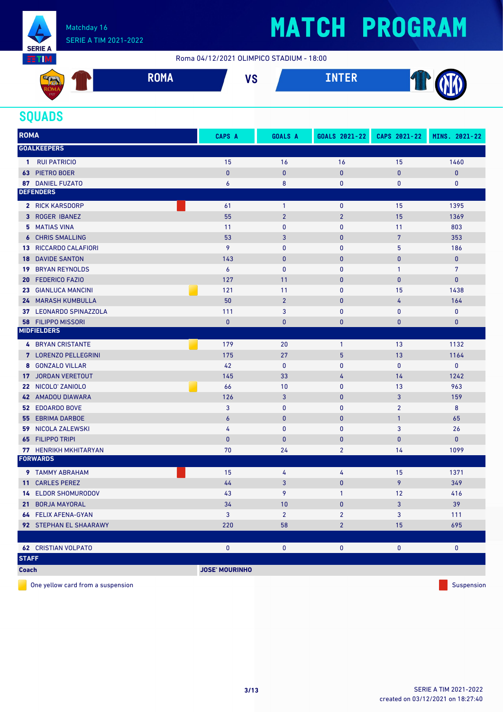

#### Matchday 16 SERIE A TIM 2021-2022

## **MATCH PROGRAM**

Roma 04/12/2021 OLIMPICO STADIUM - 18:00



#### **SQUADS**

| <b>ROMA</b>                               | CAPS A                | <b>GOALS A</b> | GOALS 2021-22  | CAPS 2021-22   | MINS. 2021-22  |
|-------------------------------------------|-----------------------|----------------|----------------|----------------|----------------|
| <b>GOALKEEPERS</b>                        |                       |                |                |                |                |
| <b>RUI PATRICIO</b><br>$\mathbf{1}$       | 15                    | 16             | 16             | 15             | 1460           |
| <b>63 PIETRO BOER</b>                     | $\pmb{0}$             | $\mathbf{0}$   | $\mathbf{0}$   | $\pmb{0}$      | $\pmb{0}$      |
| <b>87 DANIEL FUZATO</b>                   | $\boldsymbol{6}$      | 8              | $\mathbf 0$    | 0              | 0              |
| <b>DEFENDERS</b>                          |                       |                |                |                |                |
| <b>2 RICK KARSDORP</b>                    | 61                    | $\mathbf{1}$   | $\mathbf 0$    | 15             | 1395           |
| 3 ROGER IBANEZ                            | 55                    | $\overline{2}$ | $\overline{2}$ | 15             | 1369           |
| 5 MATIAS VINA                             | 11                    | $\pmb{0}$      | $\bf{0}$       | 11             | 803            |
| <b>6 CHRIS SMALLING</b>                   | 53                    | 3              | $\mathbf{0}$   | $\overline{7}$ | 353            |
| <b>13 RICCARDO CALAFIORI</b>              | 9                     | 0              | $\bf{0}$       | 5              | 186            |
| <b>18 DAVIDE SANTON</b>                   | 143                   | $\pmb{0}$      | $\mathbf{0}$   | $\bf{0}$       | $\mathbf{0}$   |
| <b>BRYAN REYNOLDS</b><br>19               | $\boldsymbol{6}$      | $\pmb{0}$      | $\bf{0}$       | $\mathbf{1}$   | $\overline{7}$ |
| <b>FEDERICO FAZIO</b><br>20               | 127                   | 11             | $\mathbf{0}$   | $\bf{0}$       | $\pmb{0}$      |
| <b>GIANLUCA MANCINI</b><br>23             | 121                   | 11             | $\mathbf 0$    | 15             | 1438           |
| 24 MARASH KUMBULLA                        | 50                    | $\overline{2}$ | $\mathbf{0}$   | 4              | 164            |
| 37 LEONARDO SPINAZZOLA                    | 111                   | 3              | $\mathbf 0$    | 0              | $\pmb{0}$      |
| <b>58 FILIPPO MISSORI</b>                 | $\bf{0}$              | $\pmb{0}$      | $\mathbf{0}$   | 0              | $\pmb{0}$      |
| <b>MIDFIELDERS</b>                        |                       |                |                |                |                |
| <b>4 BRYAN CRISTANTE</b>                  | 179                   | 20             | $\mathbf{1}$   | 13             | 1132           |
| 7 LORENZO PELLEGRINI                      | 175                   | 27             | 5              | 13             | 1164           |
| 8 GONZALO VILLAR                          | 42                    | $\pmb{0}$      | $\mathbf 0$    | $\pmb{0}$      | $\pmb{0}$      |
| <b>JORDAN VERETOUT</b><br>17 <sup>2</sup> | 145                   | 33             | 4              | 14             | 1242           |
| 22 NICOLO' ZANIOLO                        | 66                    | 10             | $\mathbf 0$    | 13             | 963            |
| <b>42 AMADOU DIAWARA</b>                  | 126                   | 3              | $\mathbf{0}$   | 3              | 159            |
| <b>52 EDOARDO BOVE</b>                    | 3                     | $\mathbf 0$    | $\mathbf 0$    | $\overline{2}$ | 8              |
| <b>55 EBRIMA DARBOE</b>                   | $\boldsymbol{6}$      | $\bf{0}$       | $\mathbf{0}$   | $\mathbf{1}$   | 65             |
| <b>59 NICOLA ZALEWSKI</b>                 | 4                     | $\mathbf{0}$   | $\mathbf{0}$   | 3              | 26             |
| <b>FILIPPO TRIPI</b><br>65                | $\pmb{0}$             | $\bf{0}$       | $\mathbf{0}$   | $\mathbf{0}$   | $\mathbf{0}$   |
| 77 HENRIKH MKHITARYAN                     | 70                    | 24             | $\overline{2}$ | 14             | 1099           |
| <b>FORWARDS</b>                           |                       |                |                |                |                |
| 9 TAMMY ABRAHAM                           | 15                    | 4              | 4              | 15             | 1371           |
| <b>CARLES PEREZ</b><br>11 <sup>1</sup>    | 44                    | 3              | $\mathbf{0}$   | 9              | 349            |
| <b>14 ELDOR SHOMURODOV</b>                | 43                    | 9              | $\mathbf{1}$   | 12             | 416            |
| 21 BORJA MAYORAL                          | 34                    | 10             | $\mathbf{0}$   | 3              | 39             |
| 64 FELIX AFENA-GYAN                       | 3                     | $\overline{2}$ | $\overline{2}$ | 3              | 111            |
| 92 STEPHAN EL SHAARAWY                    | 220                   | 58             | $\overline{2}$ | 15             | 695            |
|                                           |                       |                |                |                |                |
| <b>62 CRISTIAN VOLPATO</b>                | 0                     | 0              | 0              | 0              | 0              |
| <b>STAFF</b>                              |                       |                |                |                |                |
| <b>Coach</b>                              | <b>JOSE' MOURINHO</b> |                |                |                |                |

One yellow card from a suspension  $\blacksquare$  Suspension Suspension Suspension Suspension Suspension Suspension Suspension Suspension Suspension Suspension Suspension Suspension Suspension Suspension Suspension Suspension Susp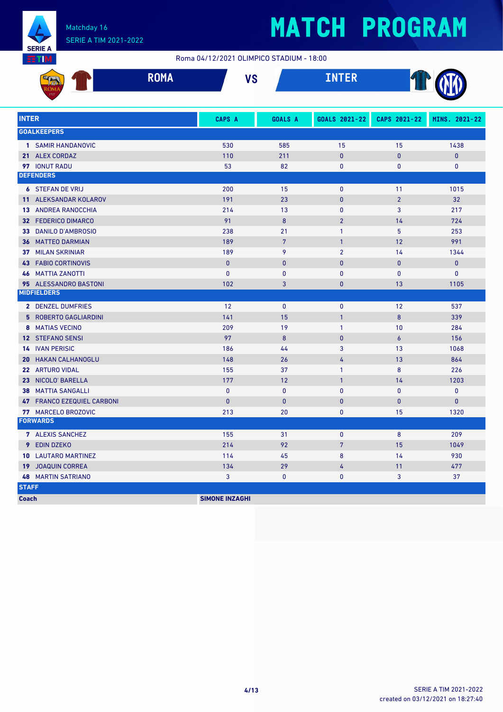

#### Matchday 16 SERIE A TIM 2021-2022

# **MATCH PROGRAM**

Roma 04/12/2021 OLIMPICO STADIUM - 18:00

|              | <b>ROMA</b>                  | <b>VS</b>    |                | <b>INTER</b>   |                |               |
|--------------|------------------------------|--------------|----------------|----------------|----------------|---------------|
| <b>INTER</b> |                              | CAPS A       | <b>GOALS A</b> | GOALS 2021-22  | CAPS 2021-22   | MINS. 2021-22 |
|              | <b>GOALKEEPERS</b>           |              |                |                |                |               |
|              | 1 SAMIR HANDANOVIC           | 530          | 585            | 15             | 15             | 1438          |
|              | 21 ALEX CORDAZ               | 110          | 211            | $\mathbf{0}$   | $\mathbf{0}$   | $\mathbf{0}$  |
|              | <b>97 IONUT RADU</b>         | 53           | 82             | 0              | $\mathbf{0}$   | $\mathbf{0}$  |
|              | <b>DEFENDERS</b>             |              |                |                |                |               |
|              | <b>6 STEFAN DE VRIJ</b>      | 200          | 15             | $\mathbf{0}$   | 11             | 1015          |
|              | <b>11 ALEKSANDAR KOLAROV</b> | 191          | 23             | $\mathbf{0}$   | $\overline{2}$ | 32            |
|              | <b>13 ANDREA RANOCCHIA</b>   | 214          | 13             | 0              | 3              | 217           |
|              | <b>32 FEDERICO DIMARCO</b>   | 91           | 8              | $\overline{2}$ | 14             | 724           |
|              | 33 DANILO D'AMBROSIO         | 238          | 21             | $\mathbf{1}$   | 5              | 253           |
|              | <b>36 MATTEO DARMIAN</b>     | 189          | $\overline{7}$ | $\mathbf{1}$   | 12             | 991           |
|              | <b>37 MILAN SKRINIAR</b>     | 189          | 9              | $\overline{2}$ | 14             | 1344          |
|              | <b>43 FABIO CORTINOVIS</b>   | $\mathbf{0}$ | $\mathbf{0}$   | $\mathbf{0}$   | $\mathbf{0}$   | $\pmb{0}$     |
|              | <b>46 MATTIA ZANOTTI</b>     | $\mathbf{0}$ | $\mathbf{0}$   | $\mathbf{0}$   | $\mathbf{0}$   | $\mathbf{0}$  |
|              | 95 ALESSANDRO BASTONI        | 102          | 3              | $\mathbf{0}$   | 13             | 1105          |
|              | <b>MIDFIELDERS</b>           |              |                |                |                |               |
|              | 2 DENZEL DUMFRIES            | 12           | $\mathbf{0}$   | $\mathbf{0}$   | 12             | 537           |
|              | 5 ROBERTO GAGLIARDINI        | 141          | 15             | $\mathbf{1}$   | 8              | 339           |
|              | 8 MATIAS VECINO              | 209          | 19             | $\mathbf{1}$   | 10             | 284           |
|              | 12 STEFANO SENSI             | 97           | 8              | $\mathbf{0}$   | $\epsilon$     | 156           |
|              | <b>14 IVAN PERISIC</b>       | 186          | 44             | 3              | 13             | 1068          |
|              | <b>20 HAKAN CALHANOGLU</b>   | 148          | 26             | 4              | 13             | 864           |
|              | 22 ARTURO VIDAL              | 155          | 37             | $\mathbf{1}$   | 8              | 226           |
|              | 23 NICOLO' BARELLA           | 177          | 12             | $\mathbf{1}$   | 14             | 1203          |
|              | <b>38 MATTIA SANGALLI</b>    | $\mathbf{0}$ | $\mathbf{0}$   | $\pmb{0}$      | $\mathbf{0}$   | $\pmb{0}$     |
|              | 47 FRANCO EZEQUIEL CARBONI   | $\mathbf{0}$ | $\mathbf{0}$   | $\mathbf{0}$   | $\mathbf{0}$   | $\mathbf{0}$  |
|              | 77 MARCELO BROZOVIC          | 213          | 20             | 0              | 15             | 1320          |
|              | <b>FORWARDS</b>              |              |                |                |                |               |
|              | 7 ALEXIS SANCHEZ             | 155          | 31             | $\mathbf{0}$   | 8              | 209           |
|              | 9 EDIN DZEKO                 | 214          | 92             | $\overline{7}$ | 15             | 1049          |
|              | <b>10 LAUTARO MARTINEZ</b>   | 114          | 45             | 8              | 14             | 930           |
|              | <b>19 JOAQUIN CORREA</b>     | 134          | 29             | 4              | 11             | 477           |
|              | <b>48 MARTIN SATRIANO</b>    | 3            | 0              | $\mathbf{0}$   | 3              | 37            |
| <b>STAFF</b> |                              |              |                |                |                |               |

**Coach SIMONE INZAGHI**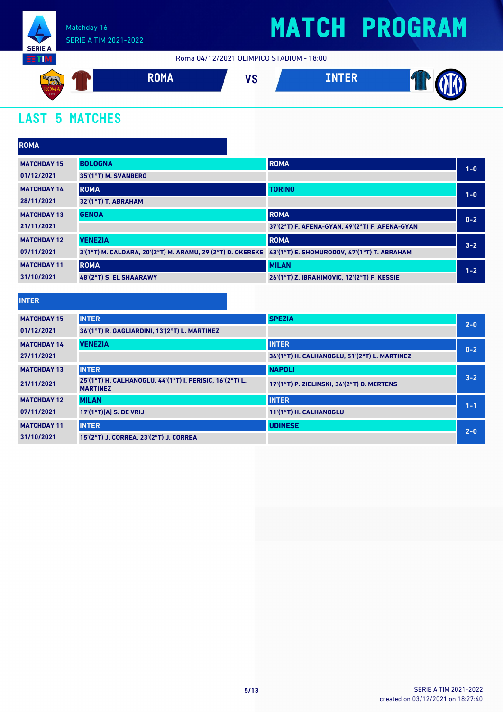

Roma 04/12/2021 OLIMPICO STADIUM - 18:00



### **LAST 5 MATCHES**

| <b>ROMA</b>        |                                                                                                        |                                                |         |
|--------------------|--------------------------------------------------------------------------------------------------------|------------------------------------------------|---------|
| <b>MATCHDAY 15</b> | <b>BOLOGNA</b>                                                                                         | <b>ROMA</b>                                    | $1-0$   |
| 01/12/2021         | 35'(1°T) M. SVANBERG                                                                                   |                                                |         |
| <b>MATCHDAY 14</b> | <b>ROMA</b>                                                                                            | <b>TORINO</b>                                  | $1-0$   |
| 28/11/2021         | 32'(1°T) T. ABRAHAM                                                                                    |                                                |         |
| <b>MATCHDAY 13</b> | <b>GENOA</b>                                                                                           | <b>ROMA</b>                                    | $0 - 2$ |
| 21/11/2021         |                                                                                                        | 37'(2°T) F. AFENA-GYAN, 49'(2°T) F. AFENA-GYAN |         |
| <b>MATCHDAY 12</b> | <b>VENEZIA</b>                                                                                         | <b>ROMA</b>                                    | $3 - 2$ |
| 07/11/2021         | 3'(1°T) M. CALDARA, 20'(2°T) M. ARAMU, 29'(2°T) D. OKEREKE 43'(1°T) E. SHOMURODOV, 47'(1°T) T. ABRAHAM |                                                |         |
| <b>MATCHDAY 11</b> | <b>ROMA</b>                                                                                            | <b>MILAN</b>                                   | $1 - 2$ |
| 31/10/2021         | 48'(2°T) S. EL SHAARAWY                                                                                | 26'(1°T) Z. IBRAHIMOVIC, 12'(2°T) F. KESSIE    |         |
|                    |                                                                                                        |                                                |         |
| <b>INTER</b>       |                                                                                                        |                                                |         |

| <b>MATCHDAY 15</b> | <b>INTER</b>                                                                | <b>SPEZIA</b>                                | $2 - 0$ |
|--------------------|-----------------------------------------------------------------------------|----------------------------------------------|---------|
| 01/12/2021         | 36'(1°T) R. GAGLIARDINI, 13'(2°T) L. MARTINEZ                               |                                              |         |
| <b>MATCHDAY 14</b> | <b>VENEZIA</b>                                                              | <b>INTER</b>                                 | $0 - 2$ |
| 27/11/2021         |                                                                             | 34'(1°T) H. CALHANOGLU, 51'(2°T) L. MARTINEZ |         |
| <b>MATCHDAY 13</b> | <b>INTER</b>                                                                | <b>NAPOLI</b>                                |         |
| 21/11/2021         | 25'(1°T) H. CALHANOGLU, 44'(1°T) I. PERISIC, 16'(2°T) L.<br><b>MARTINEZ</b> | 17'(1°T) P. ZIELINSKI, 34'(2°T) D. MERTENS   | $3 - 2$ |
| <b>MATCHDAY 12</b> | <b>MILAN</b>                                                                | <b>INTER</b>                                 | $1 - 1$ |
| 07/11/2021         | $17'(1°T)[A]$ S. DE VRIJ                                                    | 11'(1°T) H. CALHANOGLU                       |         |
| <b>MATCHDAY 11</b> | <b>INTER</b>                                                                | <b>UDINESE</b>                               | $2 - 0$ |
| 31/10/2021         | 15'(2°T) J. CORREA. 23'(2°T) J. CORREA                                      |                                              |         |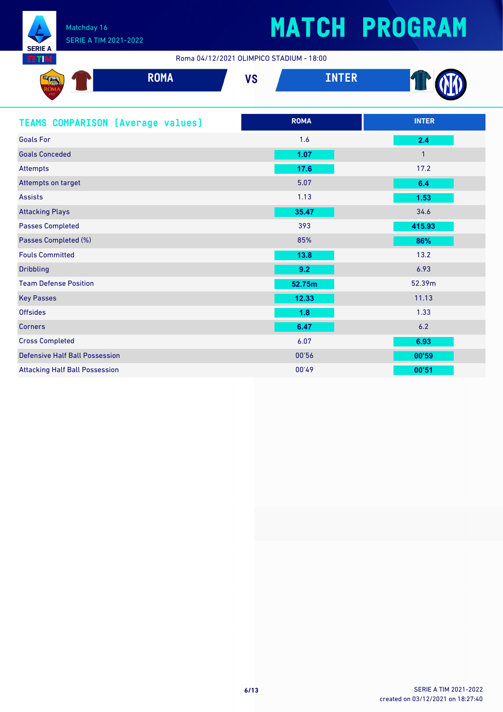

Roma 04/12/2021 OLIMPICO STADIUM - 18:00

| $\mathbb{S}$ and $\mathbb{S}$<br><b>The Associate</b><br>$-1.3319$ | <b>BALL</b><br><b>KUMA</b> | 170<br>70 | ------<br>المتقاسمات والمستوات | <b>CIPAL</b><br>м |
|--------------------------------------------------------------------|----------------------------|-----------|--------------------------------|-------------------|
| $\frac{1927}{1927}$                                                |                            |           |                                |                   |

| <b>TEAMS COMPARISON [Average values]</b> | <b>ROMA</b> | <b>INTER</b>   |
|------------------------------------------|-------------|----------------|
| <b>Goals For</b>                         | 1.6         | 2.4            |
| <b>Goals Conceded</b>                    | 1.07        | $\overline{1}$ |
| Attempts                                 | 17.6        | 17.2           |
| Attempts on target                       | 5.07        | 6.4            |
| <b>Assists</b>                           | 1.13        | 1.53           |
| <b>Attacking Plays</b>                   | 35.47       | 34.6           |
| <b>Passes Completed</b>                  | 393         | 415.93         |
| Passes Completed (%)                     | 85%         | 86%            |
| <b>Fouls Committed</b>                   | 13.8        | 13.2           |
| <b>Dribbling</b>                         | 9.2         | 6.93           |
| <b>Team Defense Position</b>             | 52.75m      | 52.39m         |
| <b>Key Passes</b>                        | 12.33       | 11.13          |
| <b>Offsides</b>                          | 1.8         | 1.33           |
| <b>Corners</b>                           | 6.47        | 6.2            |
| <b>Cross Completed</b>                   | 6.07        | 6.93           |
| <b>Defensive Half Ball Possession</b>    | 00'56       | 00'59          |
| <b>Attacking Half Ball Possession</b>    | 00'49       | 00'51          |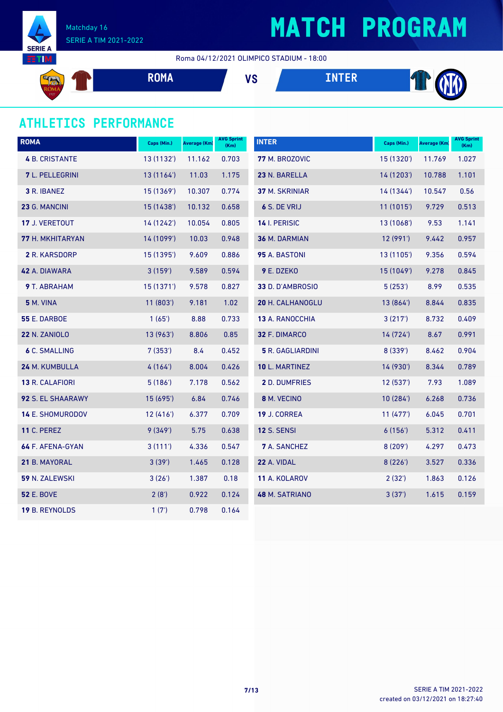



Matchday 16 SERIE A TIM 2021-2022

Roma 04/12/2021 OLIMPICO STADIUM - 18:00

| $E =$<br><b>Allan</b><br>$J$ (30)<br>rum | <b>DOMA</b><br><b>KUMA</b> | VC<br>79 | TNTED<br>TIM EN | TITA<br>м<br><b>COLLEGE</b> |
|------------------------------------------|----------------------------|----------|-----------------|-----------------------------|
| 1927                                     |                            |          |                 |                             |

### **ATHLETICS PERFORMANCE**

| <b>ROMA</b>           | Caps (Min.) | Average (Km) | <b>AVG Sprint</b><br>(Km) | <b>INTER</b>            | Caps (Min.) | Average (Km) | <b>AVG Sprint</b><br>(Km) |
|-----------------------|-------------|--------------|---------------------------|-------------------------|-------------|--------------|---------------------------|
| <b>4 B. CRISTANTE</b> | 13(1132)    | 11.162       | 0.703                     | 77 M. BROZOVIC          | 15 (1320')  | 11.769       | 1.027                     |
| 7 L. PELLEGRINI       | 13 (1164')  | 11.03        | 1.175                     | 23 N. BARELLA           | 14 (1203')  | 10.788       | 1.101                     |
| <b>3 R. IBANEZ</b>    | 15(1369)    | 10.307       | 0.774                     | <b>37 M. SKRINIAR</b>   | 14 (1344)   | 10.547       | 0.56                      |
| 23 G. MANCINI         | 15 (1438')  | 10.132       | 0.658                     | 6 S. DE VRIJ            | 11 (1015')  | 9.729        | 0.513                     |
| 17 J. VERETOUT        | 14(1242)    | 10.054       | 0.805                     | 14 I. PERISIC           | 13(1068)    | 9.53         | 1.141                     |
| 77 H. MKHITARYAN      | 14 (1099')  | 10.03        | 0.948                     | 36 M. DARMIAN           | 12 (991')   | 9.442        | 0.957                     |
| 2 R. KARSDORP         | 15 (1395')  | 9.609        | 0.886                     | 95 A. BASTONI           | 13 (1105')  | 9.356        | 0.594                     |
| 42 A. DIAWARA         | 3(159)      | 9.589        | 0.594                     | 9 E. DZEKO              | 15 (1049')  | 9.278        | 0.845                     |
| 9 T. ABRAHAM          | 15(1371)    | 9.578        | 0.827                     | 33 D. D'AMBROSIO        | 5(253)      | 8.99         | 0.535                     |
| <b>5 M. VINA</b>      | 11(803)     | 9.181        | 1.02                      | 20 H. CALHANOGLU        | 13 (864')   | 8.844        | 0.835                     |
| <b>55 E. DARBOE</b>   | 1(65)       | 8.88         | 0.733                     | <b>13 A. RANOCCHIA</b>  | 3(217)      | 8.732        | 0.409                     |
| <b>22 N. ZANIOLO</b>  | 13 (963')   | 8.806        | 0.85                      | 32 F. DIMARCO           | 14 (724)    | 8.67         | 0.991                     |
| <b>6 C. SMALLING</b>  | 7(353)      | 8.4          | 0.452                     | <b>5</b> R. GAGLIARDINI | 8(339')     | 8.462        | 0.904                     |
| 24 M. KUMBULLA        | 4(164)      | 8.004        | 0.426                     | 10 L. MARTINEZ          | 14 (930')   | 8.344        | 0.789                     |
| 13 R. CALAFIORI       | 5(186)      | 7.178        | 0.562                     | 2 D. DUMFRIES           | 12(537)     | 7.93         | 1.089                     |
| 92 S. EL SHAARAWY     | 15 (695')   | 6.84         | 0.746                     | 8 M. VECINO             | 10(284)     | 6.268        | 0.736                     |
| 14 E. SHOMURODOV      | 12(416)     | 6.377        | 0.709                     | 19 J. CORREA            | 11(477)     | 6.045        | 0.701                     |
| <b>11 C. PEREZ</b>    | 9(349)      | 5.75         | 0.638                     | <b>12 S. SENSI</b>      | 6(156)      | 5.312        | 0.411                     |
| 64 F. AFENA-GYAN      | 3(111)      | 4.336        | 0.547                     | <b>7</b> A. SANCHEZ     | 8(209')     | 4.297        | 0.473                     |
| 21 B. MAYORAL         | 3(39')      | 1.465        | 0.128                     | 22 A. VIDAL             | 8(226')     | 3.527        | 0.336                     |
| 59 N. ZALEWSKI        | 3(26')      | 1.387        | 0.18                      | 11 A. KOLAROV           | 2(32')      | 1.863        | 0.126                     |
| <b>52 E. BOVE</b>     | 2(8')       | 0.922        | 0.124                     | 48 M. SATRIANO          | 3(37)       | 1.615        | 0.159                     |
| 19 B. REYNOLDS        | 1(7)        | 0.798        | 0.164                     |                         |             |              |                           |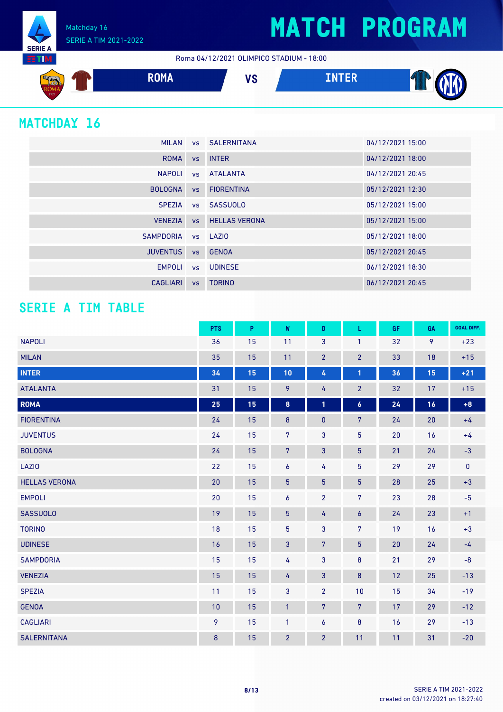Roma 04/12/2021 OLIMPICO STADIUM - 18:00



### **MATCHDAY 16**

**SERIE A HTM**  Matchday 16

SERIE A TIM 2021-2022

|                    | MILAN vs SALERNITANA     | 04/12/2021 15:00 |
|--------------------|--------------------------|------------------|
|                    | ROMA vs INTER            | 04/12/2021 18:00 |
|                    | NAPOLI vs ATALANTA       | 04/12/2021 20:45 |
| <b>BOLOGNA</b>     | vs FIORENTINA            | 05/12/2021 12:30 |
|                    | SPEZIA vs SASSUOLO       | 05/12/2021 15:00 |
|                    | VENEZIA VS HELLAS VERONA | 05/12/2021 15:00 |
| SAMPDORIA vs LAZIO |                          | 05/12/2021 18:00 |
| <b>JUVENTUS</b>    | vs GENOA                 | 05/12/2021 20:45 |
|                    | EMPOLI vs UDINESE        | 06/12/2021 18:30 |
| CAGLIARI           | vs TORINO                | 06/12/2021 20:45 |

### **SERIE A TIM TABLE**

|                      | <b>PTS</b> | P  | W                | D              | L                | <b>GF</b> | GA | <b>GOAL DIFF.</b> |
|----------------------|------------|----|------------------|----------------|------------------|-----------|----|-------------------|
| <b>NAPOLI</b>        | 36         | 15 | 11               | 3              | $\mathbf{1}$     | 32        | 9  | $+23$             |
| <b>MILAN</b>         | 35         | 15 | 11               | $\overline{2}$ | $\overline{2}$   | 33        | 18 | $+15$             |
| <b>INTER</b>         | 34         | 15 | 10               | 4              | $\mathbf{1}$     | 36        | 15 | $+21$             |
| <b>ATALANTA</b>      | 31         | 15 | 9                | 4              | $\overline{2}$   | 32        | 17 | $+15$             |
| <b>ROMA</b>          | 25         | 15 | 8                | 1              | $\boldsymbol{6}$ | 24        | 16 | $+8$              |
| <b>FIORENTINA</b>    | 24         | 15 | $\bf 8$          | $\pmb{0}$      | $\overline{7}$   | 24        | 20 | $+4$              |
| <b>JUVENTUS</b>      | 24         | 15 | $7\overline{ }$  | 3              | 5                | 20        | 16 | $+4$              |
| <b>BOLOGNA</b>       | 24         | 15 | $7\phantom{.}$   | 3              | $5\phantom{.0}$  | 21        | 24 | $-3$              |
| <b>LAZIO</b>         | 22         | 15 | $\boldsymbol{6}$ | 4              | $\overline{5}$   | 29        | 29 | $\pmb{0}$         |
| <b>HELLAS VERONA</b> | 20         | 15 | $\overline{5}$   | $\overline{5}$ | $\overline{5}$   | 28        | 25 | $+3$              |
| <b>EMPOLI</b>        | 20         | 15 | $\boldsymbol{6}$ | $\overline{2}$ | $\overline{7}$   | 23        | 28 | $-5$              |
| <b>SASSUOLO</b>      | 19         | 15 | $5\phantom{.0}$  | 4              | $\boldsymbol{6}$ | 24        | 23 | $+1$              |
| <b>TORINO</b>        | 18         | 15 | $5\phantom{.0}$  | 3              | $\overline{7}$   | 19        | 16 | $+3$              |
| <b>UDINESE</b>       | 16         | 15 | 3                | $\overline{7}$ | $5\phantom{.0}$  | 20        | 24 | $-4$              |
| <b>SAMPDORIA</b>     | 15         | 15 | 4                | $\overline{3}$ | 8                | 21        | 29 | $-8$              |
| <b>VENEZIA</b>       | 15         | 15 | 4                | 3              | $\bf 8$          | 12        | 25 | $-13$             |
| <b>SPEZIA</b>        | 11         | 15 | 3                | $\overline{2}$ | 10               | 15        | 34 | $-19$             |
| <b>GENOA</b>         | 10         | 15 | $\mathbf{1}$     | $\overline{7}$ | $\overline{7}$   | 17        | 29 | $-12$             |
| <b>CAGLIARI</b>      | 9          | 15 | $\mathbf{1}$     | $\overline{6}$ | 8                | 16        | 29 | $-13$             |
| <b>SALERNITANA</b>   | 8          | 15 | $\overline{2}$   | $\overline{2}$ | 11               | 11        | 31 | $-20$             |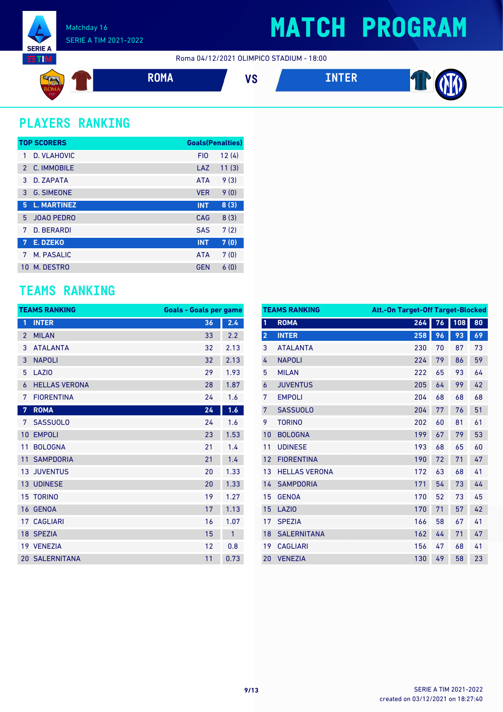

Roma 04/12/2021 OLIMPICO STADIUM - 18:00



### **PLAYERS RANKING**

| <b>TOP SCORERS</b> |                    | <b>Goals(Penalties)</b> |       |
|--------------------|--------------------|-------------------------|-------|
| 1                  | <b>D. VLAHOVIC</b> | FI <sub>0</sub>         | 12(4) |
| $\mathcal{P}$      | C. IMMOBILE        | LAZ                     | 11(3) |
| 3                  | D. ZAPATA          | <b>ATA</b>              | 9(3)  |
| 3                  | <b>G. SIMEONE</b>  | <b>VER</b>              | 9(0)  |
| 5                  | <b>L. MARTINEZ</b> | <b>INT</b>              | 8(3)  |
| 5                  | <b>JOAO PEDRO</b>  | CAG                     | 8(3)  |
| 7                  | <b>D. BERARDI</b>  | <b>SAS</b>              | 7(2)  |
| 7                  | E. DZEKO           | <b>INT</b>              | 7(0)  |
| 7                  | M. PASALIC         | <b>ATA</b>              | 7(0)  |
| 10                 | M. DESTRO          | <b>GEN</b>              | 6(0)  |

#### **TEAMS RANKING**

|                | <b>TEAMS RANKING</b> | <b>Goals - Goals per game</b> |              |
|----------------|----------------------|-------------------------------|--------------|
| 1              | <b>INTER</b>         | 36                            | 2.4          |
| $\overline{2}$ | <b>MILAN</b>         | 33                            | 2.2          |
| 3              | <b>ATALANTA</b>      | 32                            | 2.13         |
| 3              | <b>NAPOLI</b>        | 32                            | 2.13         |
| 5              | LAZI <sub>0</sub>    | 29                            | 1.93         |
| 6              | <b>HELLAS VERONA</b> | 28                            | 1.87         |
| 7              | <b>FIORENTINA</b>    | 24                            | 1.6          |
| $\overline{7}$ | <b>ROMA</b>          | 24                            | 1.6          |
| 7              | <b>SASSUOLO</b>      | 24                            | 1.6          |
| 10             | <b>EMPOLI</b>        | 23                            | 1.53         |
| 11             | <b>BOLOGNA</b>       | 21                            | 1.4          |
| 11             | <b>SAMPDORIA</b>     | 21                            | 1.4          |
| 13             | <b>JUVENTUS</b>      | 20                            | 1.33         |
| 13             | <b>UDINESE</b>       | 20                            | 1.33         |
|                | <b>15 TORINO</b>     | 19                            | 1.27         |
| 16             | <b>GENOA</b>         | 17                            | 1.13         |
| 17             | <b>CAGLIARI</b>      | 16                            | 1.07         |
|                | 18 SPEZIA            | 15                            | $\mathbf{1}$ |
| 19             | <b>VENEZIA</b>       | 12                            | 0.8          |
|                | 20 SALERNITANA       | 11                            | 0.73         |

|                | <b>TEAMS RANKING</b> | <b>Att.-On Target-Off Target-Blocked</b> |    |     |    |
|----------------|----------------------|------------------------------------------|----|-----|----|
| 1              | <b>ROMA</b>          | 264                                      | 76 | 108 | 80 |
| $\overline{2}$ | <b>INTER</b>         | 258                                      | 96 | 93  | 69 |
| 3              | <b>ATAI ANTA</b>     | 230                                      | 70 | 87  | 73 |
| 4              | <b>NAPOLI</b>        | 224                                      | 79 | 86  | 59 |
| 5              | <b>MILAN</b>         | 222                                      | 65 | 93  | 64 |
| 6              | <b>JUVENTUS</b>      | 205                                      | 64 | 99  | 42 |
| 7              | <b>EMPOLI</b>        | 204                                      | 68 | 68  | 68 |
| 7              | <b>SASSUOLO</b>      | 204                                      | 77 | 76  | 51 |
| 9              | <b>TORINO</b>        | 202                                      | 60 | 81  | 61 |
| 10             | <b>BOLOGNA</b>       | 199                                      | 67 | 79  | 53 |
| 11             | <b>UDINESE</b>       | 193                                      | 68 | 65  | 60 |
| 12             | <b>FIORENTINA</b>    | 190                                      | 72 | 71  | 47 |
| 13             | <b>HELLAS VERONA</b> | 172                                      | 63 | 68  | 41 |
| 14             | <b>SAMPDORIA</b>     | 171                                      | 54 | 73  | 44 |
| 15             | <b>GENOA</b>         | 170                                      | 52 | 73  | 45 |
| 15             | <b>LAZIO</b>         | 170                                      | 71 | 57  | 42 |
| 17             | <b>SPEZIA</b>        | 166                                      | 58 | 67  | 41 |
| 18             | <b>SALERNITANA</b>   | 162                                      | 44 | 71  | 47 |
| 19             | <b>CAGLIARI</b>      | 156                                      | 47 | 68  | 41 |
| 20             | <b>VENEZIA</b>       | 130                                      | 49 | 58  | 23 |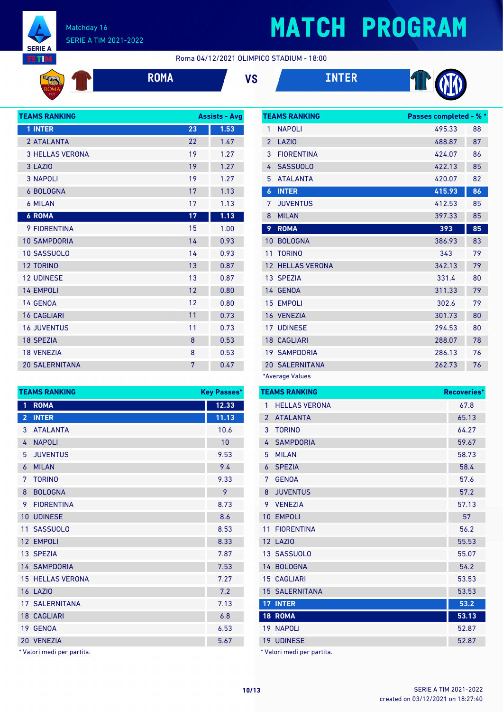

**Sige** 

#### Matchday 16 SERIE A TIM 2021-2022

# **MATCH PROGRAM**

Roma 04/12/2021 OLIMPICO STADIUM - 18:00







| <b>TEAMS RANKING</b>   |    | <b>Assists - Avg</b> |
|------------------------|----|----------------------|
| 1 INTER                | 23 | 1.53                 |
| 2 ATALANTA             | 22 | 1.47                 |
| <b>3 HELLAS VERONA</b> | 19 | 1.27                 |
| 3 LAZIO                | 19 | 1.27                 |
| <b>3 NAPOLI</b>        | 19 | 1.27                 |
| <b>6 BOLOGNA</b>       | 17 | 1.13                 |
| <b>6 MILAN</b>         | 17 | 1.13                 |
| <b>6 ROMA</b>          | 17 | 1.13                 |
| <b>9 FIORENTINA</b>    | 15 | 1.00                 |
| <b>10 SAMPDORIA</b>    | 14 | 0.93                 |
| <b>10 SASSUOLO</b>     | 14 | 0.93                 |
| <b>12 TORINO</b>       | 13 | 0.87                 |
| <b>12 UDINESE</b>      | 13 | 0.87                 |
| <b>14 EMPOLI</b>       | 12 | 0.80                 |
| 14 GENOA               | 12 | 0.80                 |
| <b>16 CAGLIARI</b>     | 11 | 0.73                 |
| <b>16 JUVENTUS</b>     | 11 | 0.73                 |
| <b>18 SPEZIA</b>       | 8  | 0.53                 |
| <b>18 VENEZIA</b>      | 8  | 0.53                 |
| <b>20 SALERNITANA</b>  | 7  | 0.47                 |

|                  | <b>TEAMS RANKING</b>    | Passes completed - % * |    |
|------------------|-------------------------|------------------------|----|
| 1                | <b>NAPOLI</b>           | 495.33                 | 88 |
| $\mathfrak{p}$   | <b>LAZIO</b>            | 488.87                 | 87 |
| 3                | <b>FIORENTINA</b>       | 424.07                 | 86 |
| 4                | <b>SASSUOLO</b>         | 422.13                 | 85 |
| 5                | <b>ATALANTA</b>         | 420.07                 | 82 |
| $\boldsymbol{6}$ | <b>INTER</b>            | 415.93                 | 86 |
| 7                | <b>JUVENTUS</b>         | 412.53                 | 85 |
| 8                | <b>MILAN</b>            | 397.33                 | 85 |
| 9                | <b>ROMA</b>             | 393                    | 85 |
| 10               | <b>BOLOGNA</b>          | 386.93                 | 83 |
| 11               | <b>TORINO</b>           | 343                    | 79 |
|                  | <b>12 HELLAS VERONA</b> | 342.13                 | 79 |
|                  | 13 SPEZIA               | 331.4                  | 80 |
|                  | 14 GENOA                | 311.33                 | 79 |
|                  | <b>15 EMPOLI</b>        | 302.6                  | 79 |
|                  | 16 VENEZIA              | 301.73                 | 80 |
|                  | <b>17 UDINESE</b>       | 294.53                 | 80 |
|                  | <b>18 CAGLIARI</b>      | 288.07                 | 78 |
|                  | <b>19 SAMPDORIA</b>     | 286.13                 | 76 |
|                  | <b>20 SALERNITANA</b>   | 262.73                 | 76 |

\*Average Values

| ses*           |                 | <b>TEAMS RANKING</b>       | <b>Recoveries*</b> |
|----------------|-----------------|----------------------------|--------------------|
| 33             | 1               | <b>HELLAS VERONA</b>       | 67.8               |
| 13             | $\overline{2}$  | <b>ATALANTA</b>            | 65.13              |
| 6              | 3               | <b>TORINO</b>              | 64.27              |
| ١              | 4               | <b>SAMPDORIA</b>           | 59.67              |
| 3              | 5               | <b>MILAN</b>               | 58.73              |
| 4              | 6               | <b>SPEZIA</b>              | 58.4               |
| 3              | 7               | <b>GENOA</b>               | 57.6               |
|                | 8               | <b>JUVENTUS</b>            | 57.2               |
| 3              | 9               | <b>VENEZIA</b>             | 57.13              |
| 5              | 10              | <b>EMPOLI</b>              | 57                 |
| 3              | 11              | <b>FIORENTINA</b>          | 56.2               |
| 3              |                 | <b>12 LAZIO</b>            | 55.53              |
| 7              |                 | 13 SASSUOLO                | 55.07              |
| 3              |                 | 14 BOLOGNA                 | 54.2               |
| 7              |                 | <b>15 CAGLIARI</b>         | 53.53              |
| 2              |                 | <b>15 SALERNITANA</b>      | 53.53              |
| 3              | 17 <sup>2</sup> | <b>INTER</b>               | 53.2               |
| 3              |                 | <b>18 ROMA</b>             | 53.13              |
| 3              |                 | 19 NAPOLI                  | 52.87              |
| $\overline{7}$ |                 | 19 UDINESE                 | 52.87              |
|                |                 | * Valori medi per partita. |                    |

|                | <b>TEAMS RANKING</b>      | <b>Key Passes*</b> |
|----------------|---------------------------|--------------------|
| 1              | <b>ROMA</b>               | 12.33              |
| $\overline{2}$ | <b>INTER</b>              | 11.13              |
| 3              | <b>ATALANTA</b>           | 10.6               |
| 4              | <b>NAPOLI</b>             | 10                 |
| 5              | <b>JUVENTUS</b>           | 9.53               |
| 6              | <b>MILAN</b>              | 9.4                |
| 7              | <b>TORINO</b>             | 9.33               |
| 8              | <b>BOLOGNA</b>            | 9                  |
| 9              | <b>FIORENTINA</b>         | 8.73               |
| 10             | <b>UDINESE</b>            | 8.6                |
| 11             | <b>SASSUOLO</b>           | 8.53               |
|                | 12 EMPOLI                 | 8.33               |
|                | 13 SPEZIA                 | 7.87               |
|                | <b>14 SAMPDORIA</b>       | 7.53               |
|                | <b>15 HELLAS VERONA</b>   | 7.27               |
|                | <b>16 LAZIO</b>           | 7.2                |
|                | <b>17 SALERNITANA</b>     | 7.13               |
|                | <b>18 CAGLIARI</b>        | 6.8                |
|                | 19 GENOA                  | 6.53               |
|                | 20 VENEZIA                | 5.67               |
|                | * Valori modi nor nartita |                    |

Valori medi per partita.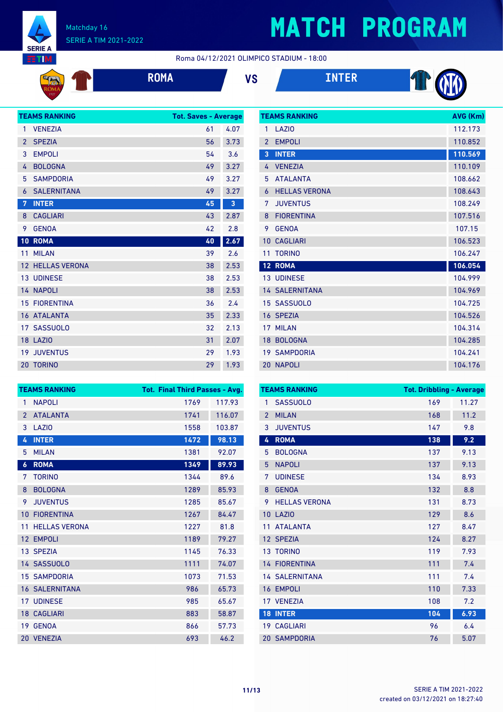

**EXAMPLE** 

#### Matchday 16 SERIE A TIM 2021-2022

# **MATCH PROGRAM**

Roma 04/12/2021 OLIMPICO STADIUM - 18:00







|                | <b>TEAMS RANKING</b>    | <b>Tot. Saves - Average</b> |      |
|----------------|-------------------------|-----------------------------|------|
| 1              | <b>VENEZIA</b>          | 61                          | 4.07 |
| $\overline{2}$ | <b>SPEZIA</b>           | 56                          | 3.73 |
| 3              | <b>EMPOLI</b>           | 54                          | 3.6  |
| 4              | <b>BOLOGNA</b>          | 49                          | 3.27 |
| 5              | <b>SAMPDORIA</b>        | 49                          | 3.27 |
| 6              | <b>SALERNITANA</b>      | 49                          | 3.27 |
| 7              | <b>INTER</b>            | 45                          | 3    |
| 8              | <b>CAGLIARI</b>         | 43                          | 2.87 |
| 9              | <b>GENOA</b>            | 42                          | 2.8  |
| 10             | <b>ROMA</b>             | 40                          | 2.67 |
| 11             | <b>MILAN</b>            | 39                          | 2.6  |
|                | <b>12 HELLAS VERONA</b> | 38                          | 2.53 |
|                | <b>13 UDINESE</b>       | 38                          | 2.53 |
|                | 14 NAPOLI               | 38                          | 2.53 |
|                | <b>15 FIORENTINA</b>    | 36                          | 2.4  |
|                | 16 ATALANTA             | 35                          | 2.33 |
|                | 17 SASSUOLO             | 32                          | 2.13 |
|                | <b>18 LAZIO</b>         | 31                          | 2.07 |
| 19             | <b>JUVENTUS</b>         | 29                          | 1.93 |
|                | 20 TORINO               | 29                          | 1.93 |

|                | <b>TEAMS RANKING</b>  | AVG (Km) |
|----------------|-----------------------|----------|
| 1              | LAZI <sub>0</sub>     | 112.173  |
| $\mathfrak{p}$ | <b>EMPOLI</b>         | 110.852  |
| $\overline{3}$ | <b>INTER</b>          | 110.569  |
| 4              | <b>VENEZIA</b>        | 110.109  |
| 5              | <b>ATALANTA</b>       | 108.662  |
| 6              | <b>HELLAS VERONA</b>  | 108.643  |
| 7              | <b>JUVENTUS</b>       | 108.249  |
| 8              | <b>FIORENTINA</b>     | 107.516  |
| 9              | <b>GENOA</b>          | 107.15   |
| 10             | <b>CAGLIARI</b>       | 106.523  |
| 11             | <b>TORINO</b>         | 106.247  |
|                | 12 ROMA               | 106.054  |
|                | <b>13 UDINESE</b>     | 104.999  |
|                | <b>14 SALERNITANA</b> | 104.969  |
|                | 15 SASSUOLO           | 104.725  |
|                | 16 SPEZIA             | 104.526  |
| 17             | <b>MILAN</b>          | 104.314  |
| 18             | <b>BOLOGNA</b>        | 104.285  |
|                | <b>19 SAMPDORIA</b>   | 104.241  |
|                | 20 NAPOLI             | 104.176  |

|                | <b>TEAMS RANKING</b>  | Tot. Final Third Passes - Avg. |        |
|----------------|-----------------------|--------------------------------|--------|
| 1              | <b>NAPOLI</b>         | 1769                           | 117.93 |
| $\overline{2}$ | <b>ATALANTA</b>       | 1741                           | 116.07 |
| 3              | LAZI <sub>0</sub>     | 1558                           | 103.87 |
| 4              | <b>INTER</b>          | 1472                           | 98.13  |
| 5              | <b>MILAN</b>          | 1381                           | 92.07  |
| 6              | <b>ROMA</b>           | 1349                           | 89.93  |
| 7              | <b>TORINO</b>         | 1344                           | 89.6   |
| 8              | <b>BOLOGNA</b>        | 1289                           | 85.93  |
| 9              | <b>JUVENTUS</b>       | 1285                           | 85.67  |
| 10             | <b>FIORENTINA</b>     | 1267                           | 84.47  |
| 11             | <b>HELLAS VERONA</b>  | 1227                           | 81.8   |
|                | 12 EMPOLI             | 1189                           | 79.27  |
|                | 13 SPEZIA             | 1145                           | 76.33  |
|                | 14 SASSUOLO           | 1111                           | 74.07  |
|                | <b>15 SAMPDORIA</b>   | 1073                           | 71.53  |
|                | <b>16 SALERNITANA</b> | 986                            | 65.73  |
|                | <b>17 UDINESE</b>     | 985                            | 65.67  |
|                | <b>18 CAGLIARI</b>    | 883                            | 58.87  |
| 19             | <b>GENOA</b>          | 866                            | 57.73  |
|                | 20 VENEZIA            | 693                            | 46.2   |

|                   | <b>TEAMS RANKING</b>  | <b>Tot. Dribbling - Average</b> |       |
|-------------------|-----------------------|---------------------------------|-------|
| 1                 | <b>SASSUOLO</b>       | 169                             | 11.27 |
| $\overline{2}$    | <b>MILAN</b>          | 168                             | 11.2  |
| 3                 | <b>JUVENTUS</b>       | 147                             | 9.8   |
| 4                 | <b>ROMA</b>           | 138                             | 9.2   |
| 5                 | <b>BOLOGNA</b>        | 137                             | 9.13  |
| 5                 | <b>NAPOLI</b>         | 137                             | 9.13  |
| 7                 | <b>UDINESE</b>        | 134                             | 8.93  |
| 8                 | <b>GENOA</b>          | 132                             | 8.8   |
| 9                 | <b>HELLAS VERONA</b>  | 131                             | 8.73  |
| 10                | LAZIO                 | 129                             | 8.6   |
| 11                | <b>ATALANTA</b>       | 127                             | 8.47  |
| $12 \overline{ }$ | <b>SPEZIA</b>         | 124                             | 8.27  |
|                   | <b>13 TORINO</b>      | 119                             | 7.93  |
|                   | <b>14 FIORENTINA</b>  | 111                             | 7.4   |
|                   | <b>14 SALERNITANA</b> | 111                             | 7.4   |
|                   | 16 EMPOLI             | 110                             | 7.33  |
|                   | 17 VENEZIA            | 108                             | 7.2   |
| 18                | <b>INTER</b>          | 104                             | 6.93  |
|                   | 19 CAGLIARI           | 96                              | 6.4   |
|                   | <b>20 SAMPDORIA</b>   | 76                              | 5.07  |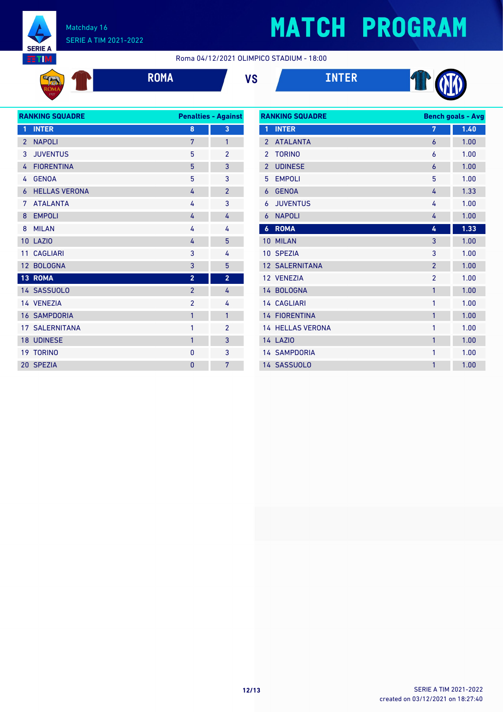

**Agency** 

#### Matchday 16 SERIE A TIM 2021-2022

# **MATCH PROGRAM**

Roma 04/12/2021 OLIMPICO STADIUM - 18:00



**ROMA VS INTER**





| <b>RANKING SQUADRE</b> |                       |                | <b>Penalties - Against</b> |
|------------------------|-----------------------|----------------|----------------------------|
| 1                      | <b>INTER</b>          | 8              | 3                          |
| $\overline{2}$         | <b>NAPOLI</b>         | 7              | 1                          |
| 3                      | <b>JUVENTUS</b>       | 5              | $\overline{2}$             |
| 4                      | <b>FIORENTINA</b>     | 5              | 3                          |
| 4                      | <b>GENOA</b>          | 5              | 3                          |
| 6                      | <b>HELLAS VERONA</b>  | 4              | $\overline{2}$             |
| 7                      | <b>ATALANTA</b>       | 4              | 3                          |
| 8                      | <b>EMPOLI</b>         | 4              | 4                          |
| 8                      | <b>MILAN</b>          | 4              | 4                          |
| 10                     | <b>LAZIO</b>          | 4              | 5                          |
| 11                     | <b>CAGLIARI</b>       | 3              | 4                          |
| 12                     | <b>BOLOGNA</b>        | 3              | 5                          |
|                        | 13 ROMA               | $\overline{2}$ | $\overline{2}$             |
|                        | 14 SASSUOLO           | $\overline{2}$ | 4                          |
|                        | 14 VENEZIA            | $\overline{2}$ | 4                          |
|                        | <b>16 SAMPDORIA</b>   | 1              | 1                          |
|                        | <b>17 SALERNITANA</b> | $\mathbf{1}$   | $\overline{2}$             |
|                        | 18 UDINESE            | 1              | 3                          |
| 19                     | <b>TORINO</b>         | 0              | 3                          |
|                        | 20 SPEZIA             | $\overline{0}$ | 7                          |
|                        |                       |                |                            |

| <b>RANKING SQUADRE</b> |                         | <b>Bench goals - Avg</b> |      |
|------------------------|-------------------------|--------------------------|------|
| 1                      | <b>INTER</b>            | 7                        | 1.40 |
| $\overline{2}$         | <b>ATALANTA</b>         | 6                        | 1.00 |
| $\overline{2}$         | <b>TORINO</b>           | 6                        | 1.00 |
| $\overline{2}$         | <b>UDINESE</b>          | 6                        | 1.00 |
| 5                      | <b>EMPOLI</b>           | 5                        | 1.00 |
| 6                      | <b>GENOA</b>            | 4                        | 1.33 |
| 6                      | <b>JUVENTUS</b>         | 4                        | 1.00 |
| 6                      | <b>NAPOLI</b>           | 4                        | 1.00 |
| $\boldsymbol{6}$       | <b>ROMA</b>             | 4                        | 1.33 |
| 10                     | <b>MILAN</b>            | 3                        | 1.00 |
| 10                     | <b>SPEZIA</b>           | 3                        | 1.00 |
|                        | <b>12 SALERNITANA</b>   | $\overline{2}$           | 1.00 |
|                        | 12 VENEZIA              | $\overline{2}$           | 1.00 |
|                        | 14 BOLOGNA              | 1                        | 1.00 |
|                        | <b>14 CAGLIARI</b>      | 1                        | 1.00 |
|                        | <b>14 FIORENTINA</b>    | $\mathbf{1}$             | 1.00 |
|                        | <b>14 HELLAS VERONA</b> | 1                        | 1.00 |
|                        | <b>14 LAZIO</b>         | $\mathbf{1}$             | 1.00 |
|                        | <b>14 SAMPDORIA</b>     | 1                        | 1.00 |
|                        | 14 SASSUOLO             | 1                        | 1.00 |